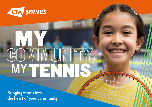

# COMMUNITY MY TENNIS MY

**Bringing tennis into the heart of your community**